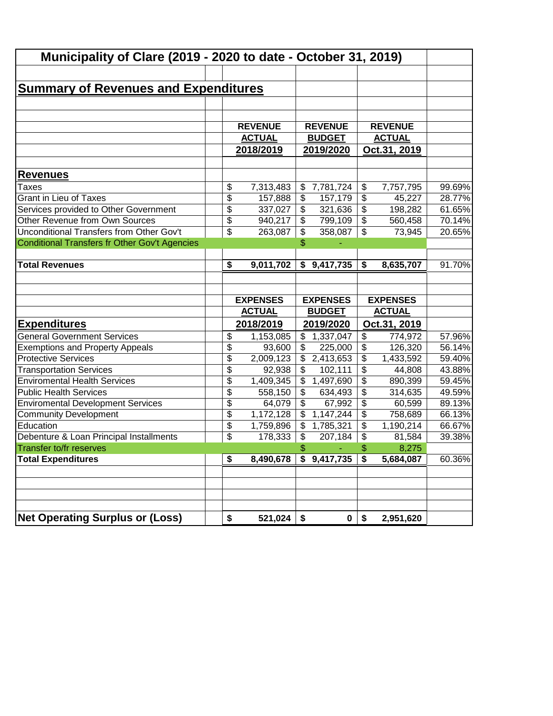| Municipality of Clare (2019 - 2020 to date - October 31, 2019) |                                  |                |                                  |                         |                                  |        |
|----------------------------------------------------------------|----------------------------------|----------------|----------------------------------|-------------------------|----------------------------------|--------|
|                                                                |                                  |                |                                  |                         |                                  |        |
| <b>Summary of Revenues and Expenditures</b>                    |                                  |                |                                  |                         |                                  |        |
|                                                                |                                  |                |                                  |                         |                                  |        |
|                                                                |                                  |                |                                  |                         |                                  |        |
|                                                                | <b>REVENUE</b>                   |                | <b>REVENUE</b>                   |                         | <b>REVENUE</b>                   |        |
|                                                                | <b>ACTUAL</b>                    |                | <b>BUDGET</b>                    |                         | <b>ACTUAL</b>                    |        |
|                                                                | 2018/2019                        |                | 2019/2020                        |                         | Oct.31, 2019                     |        |
| <b>Revenues</b>                                                |                                  |                |                                  |                         |                                  |        |
| Taxes                                                          | \$<br>7,313,483                  | \$             | 7,781,724                        | \$                      | 7,757,795                        | 99.69% |
| <b>Grant in Lieu of Taxes</b>                                  | \$<br>157,888                    | $\frac{1}{2}$  | 157,179                          | \$                      | 45,227                           | 28.77% |
| Services provided to Other Government                          | \$<br>337,027                    | \$             | 321,636                          | \$                      | 198,282                          | 61.65% |
| Other Revenue from Own Sources                                 | \$<br>940,217                    | \$             | 799,109                          | \$                      | 560,458                          | 70.14% |
| <b>Unconditional Transfers from Other Gov't</b>                | \$<br>263,087                    | \$             | 358,087                          | \$                      | 73,945                           | 20.65% |
| Conditional Transfers fr Other Gov't Agencies                  |                                  | \$             |                                  |                         |                                  |        |
|                                                                |                                  |                |                                  |                         |                                  |        |
| <b>Total Revenues</b>                                          | \$<br>9,011,702                  | \$             | 9,417,735                        | \$                      | 8,635,707                        | 91.70% |
|                                                                | <b>EXPENSES</b><br><b>ACTUAL</b> |                | <b>EXPENSES</b><br><b>BUDGET</b> |                         | <b>EXPENSES</b><br><b>ACTUAL</b> |        |
| <b>Expenditures</b>                                            | 2018/2019                        |                | 2019/2020                        |                         | Oct.31, 2019                     |        |
| <b>General Government Services</b>                             | \$<br>1,153,085                  | \$             | 1,337,047                        | \$                      | 774,972                          | 57.96% |
| <b>Exemptions and Property Appeals</b>                         | \$<br>93,600                     | \$             | 225,000                          | \$                      | 126,320                          | 56.14% |
| <b>Protective Services</b>                                     | \$<br>2,009,123                  | \$             | 2,413,653                        | \$                      | 1,433,592                        | 59.40% |
| <b>Transportation Services</b>                                 | \$<br>92,938                     | \$             | 102,111                          | \$                      | 44,808                           | 43.88% |
| <b>Enviromental Health Services</b>                            | \$<br>1,409,345                  | \$             | 1,497,690                        | \$                      | 890,399                          | 59.45% |
| <b>Public Health Services</b>                                  | \$<br>558,150                    | \$             | 634,493                          | \$                      | 314,635                          | 49.59% |
| <b>Enviromental Development Services</b>                       | \$<br>64,079                     | $\mathfrak{S}$ | 67,992                           | \$                      | 60,599                           | 89.13% |
| <b>Community Development</b>                                   | \$<br>1,172,128                  | \$             | 1,147,244                        | \$                      | 758,689                          | 66.13% |
| Education                                                      | \$<br>1,759,896                  | \$             | 1,785,321                        | \$                      | 1,190,214                        | 66.67% |
| Debenture & Loan Principal Installments                        | \$<br>178,333                    | \$             | 207,184                          | $\sqrt[6]{\frac{1}{2}}$ | 81,584                           | 39.38% |
| Transfer to/fr reserves                                        |                                  | \$             |                                  | \$                      | 8,275                            |        |
| <b>Total Expenditures</b>                                      | \$<br>8,490,678                  |                | $\overline{9,417,735}$           | \$                      | 5,684,087                        | 60.36% |
|                                                                |                                  |                |                                  |                         |                                  |        |
|                                                                |                                  |                |                                  |                         |                                  |        |
|                                                                |                                  |                |                                  |                         |                                  |        |
|                                                                | 521,024                          |                |                                  | \$                      |                                  |        |
| <b>Net Operating Surplus or (Loss)</b>                         | \$                               | \$             | $\mathbf 0$                      |                         | 2,951,620                        |        |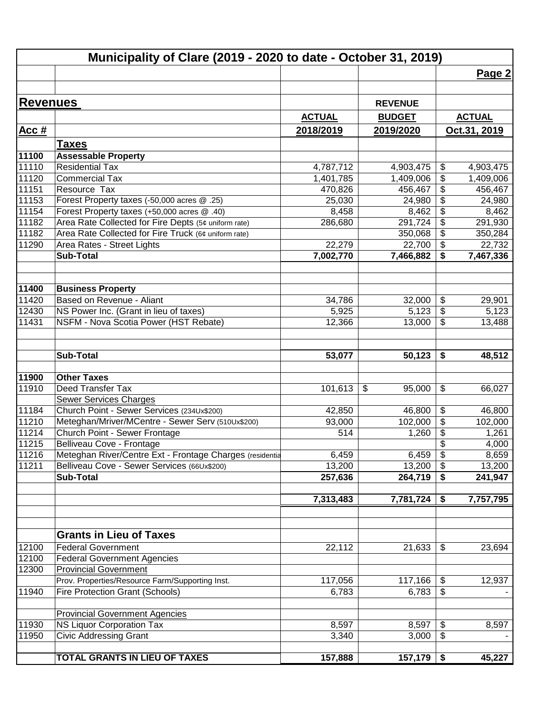| <b>Revenues</b><br><b>REVENUE</b><br><b>ACTUAL</b><br><b>ACTUAL</b><br><b>BUDGET</b><br>Oct.31, 2019<br>Acc#<br>2018/2019<br>2019/2020<br><b>Taxes</b><br><b>Assessable Property</b><br>11100<br>11110<br><b>Residential Tax</b><br>4,787,712<br>4,903,475<br>\$<br>4,903,475<br>11120<br>\$<br><b>Commercial Tax</b><br>1,401,785<br>1,409,006<br>1,409,006<br>\$<br>11151<br>Resource Tax<br>470,826<br>456,467<br>456,467<br>\$<br>11153<br>Forest Property taxes (-50,000 acres @ .25)<br>25,030<br>24,980<br>24,980<br>\$<br>11154<br>Forest Property taxes (+50,000 acres @ .40)<br>8,458<br>8,462<br>8,462<br>$\overline{\$}$<br>11182<br>Area Rate Collected for Fire Depts (5¢ uniform rate)<br>291,724<br>291,930<br>286,680<br>$\overline{\mathbf{e}}$<br>11182<br>Area Rate Collected for Fire Truck (6¢ uniform rate)<br>350,284<br>350,068<br>\$<br>11290<br>Area Rates - Street Lights<br>22,279<br>22,700<br>22,732<br>\$<br><b>Sub-Total</b><br>7,002,770<br>7,466,882<br>7,467,336<br>11400<br><b>Business Property</b><br>11420<br>Based on Revenue - Aliant<br>34,786<br>32,000<br>\$<br>29,901<br>\$<br>12430<br>NS Power Inc. (Grant in lieu of taxes)<br>5,925<br>5,123<br>5,123<br>11431<br>NSFM - Nova Scotia Power (HST Rebate)<br>\$<br>12,366<br>13,000<br>13,488<br><b>Sub-Total</b><br>53,077<br>50,123<br>\$<br>48,512<br><b>Other Taxes</b><br>11900<br>11910<br>Deed Transfer Tax<br>101,613<br>\$<br>\$<br>95,000<br>66,027<br><b>Sewer Services Charges</b><br>Church Point - Sewer Services (234Ux\$200)<br>11184<br>\$<br>42,850<br>46,800<br>46,800<br>$\overline{\mathbf{e}}$<br>11210<br>Meteghan/Mriver/MCentre - Sewer Serv (510Ux\$200)<br>93,000<br>102,000<br>102,000<br>11214<br>\$<br>Church Point - Sewer Frontage<br>514<br>1,260<br>1,261<br>11215<br>\$<br>Belliveau Cove - Frontage<br>4,000<br>$\overline{\mathcal{L}}$<br>11216<br>Meteghan River/Centre Ext - Frontage Charges (residentia<br>6,459<br>8,659<br>6,459<br>11211<br>Belliveau Cove - Sewer Services (66Ux\$200)<br>\$<br>13,200<br>13,200<br>13,200<br><b>Sub-Total</b><br>257,636<br>264,719<br>\$<br>241,947<br>7,313,483<br>7,781,724<br>7,757,795<br>\$<br><b>Grants in Lieu of Taxes</b><br><b>Federal Government</b><br>12100<br>22,112<br>21,633<br>\$<br>23,694<br>12100<br><b>Federal Government Agencies</b><br>12300<br><b>Provincial Government</b><br>117,056<br>117,166<br>Prov. Properties/Resource Farm/Supporting Inst.<br>\$<br>12,937<br>11940<br>6,783<br>\$<br><b>Fire Protection Grant (Schools)</b><br>6,783<br><b>Provincial Government Agencies</b><br>11930<br><b>NS Liquor Corporation Tax</b><br>8,597<br>8,597<br>8,597<br>\$<br>11950<br><b>Civic Addressing Grant</b><br>3,340<br>3,000<br>\$<br>TOTAL GRANTS IN LIEU OF TAXES<br>157,888<br>$157,179$ \$<br>45,227 | Municipality of Clare (2019 - 2020 to date - October 31, 2019) |  |        |
|-------------------------------------------------------------------------------------------------------------------------------------------------------------------------------------------------------------------------------------------------------------------------------------------------------------------------------------------------------------------------------------------------------------------------------------------------------------------------------------------------------------------------------------------------------------------------------------------------------------------------------------------------------------------------------------------------------------------------------------------------------------------------------------------------------------------------------------------------------------------------------------------------------------------------------------------------------------------------------------------------------------------------------------------------------------------------------------------------------------------------------------------------------------------------------------------------------------------------------------------------------------------------------------------------------------------------------------------------------------------------------------------------------------------------------------------------------------------------------------------------------------------------------------------------------------------------------------------------------------------------------------------------------------------------------------------------------------------------------------------------------------------------------------------------------------------------------------------------------------------------------------------------------------------------------------------------------------------------------------------------------------------------------------------------------------------------------------------------------------------------------------------------------------------------------------------------------------------------------------------------------------------------------------------------------------------------------------------------------------------------------------------------------------------------------------------------------------------------------------------------------------------------------------------------------------------------------------------------------------------------------------------------------------------------------------------------------------------------------------------------------------------------------------------------------------------------|----------------------------------------------------------------|--|--------|
|                                                                                                                                                                                                                                                                                                                                                                                                                                                                                                                                                                                                                                                                                                                                                                                                                                                                                                                                                                                                                                                                                                                                                                                                                                                                                                                                                                                                                                                                                                                                                                                                                                                                                                                                                                                                                                                                                                                                                                                                                                                                                                                                                                                                                                                                                                                                                                                                                                                                                                                                                                                                                                                                                                                                                                                                                         |                                                                |  | Page 2 |
|                                                                                                                                                                                                                                                                                                                                                                                                                                                                                                                                                                                                                                                                                                                                                                                                                                                                                                                                                                                                                                                                                                                                                                                                                                                                                                                                                                                                                                                                                                                                                                                                                                                                                                                                                                                                                                                                                                                                                                                                                                                                                                                                                                                                                                                                                                                                                                                                                                                                                                                                                                                                                                                                                                                                                                                                                         |                                                                |  |        |
|                                                                                                                                                                                                                                                                                                                                                                                                                                                                                                                                                                                                                                                                                                                                                                                                                                                                                                                                                                                                                                                                                                                                                                                                                                                                                                                                                                                                                                                                                                                                                                                                                                                                                                                                                                                                                                                                                                                                                                                                                                                                                                                                                                                                                                                                                                                                                                                                                                                                                                                                                                                                                                                                                                                                                                                                                         |                                                                |  |        |
|                                                                                                                                                                                                                                                                                                                                                                                                                                                                                                                                                                                                                                                                                                                                                                                                                                                                                                                                                                                                                                                                                                                                                                                                                                                                                                                                                                                                                                                                                                                                                                                                                                                                                                                                                                                                                                                                                                                                                                                                                                                                                                                                                                                                                                                                                                                                                                                                                                                                                                                                                                                                                                                                                                                                                                                                                         |                                                                |  |        |
|                                                                                                                                                                                                                                                                                                                                                                                                                                                                                                                                                                                                                                                                                                                                                                                                                                                                                                                                                                                                                                                                                                                                                                                                                                                                                                                                                                                                                                                                                                                                                                                                                                                                                                                                                                                                                                                                                                                                                                                                                                                                                                                                                                                                                                                                                                                                                                                                                                                                                                                                                                                                                                                                                                                                                                                                                         |                                                                |  |        |
|                                                                                                                                                                                                                                                                                                                                                                                                                                                                                                                                                                                                                                                                                                                                                                                                                                                                                                                                                                                                                                                                                                                                                                                                                                                                                                                                                                                                                                                                                                                                                                                                                                                                                                                                                                                                                                                                                                                                                                                                                                                                                                                                                                                                                                                                                                                                                                                                                                                                                                                                                                                                                                                                                                                                                                                                                         |                                                                |  |        |
|                                                                                                                                                                                                                                                                                                                                                                                                                                                                                                                                                                                                                                                                                                                                                                                                                                                                                                                                                                                                                                                                                                                                                                                                                                                                                                                                                                                                                                                                                                                                                                                                                                                                                                                                                                                                                                                                                                                                                                                                                                                                                                                                                                                                                                                                                                                                                                                                                                                                                                                                                                                                                                                                                                                                                                                                                         |                                                                |  |        |
|                                                                                                                                                                                                                                                                                                                                                                                                                                                                                                                                                                                                                                                                                                                                                                                                                                                                                                                                                                                                                                                                                                                                                                                                                                                                                                                                                                                                                                                                                                                                                                                                                                                                                                                                                                                                                                                                                                                                                                                                                                                                                                                                                                                                                                                                                                                                                                                                                                                                                                                                                                                                                                                                                                                                                                                                                         |                                                                |  |        |
|                                                                                                                                                                                                                                                                                                                                                                                                                                                                                                                                                                                                                                                                                                                                                                                                                                                                                                                                                                                                                                                                                                                                                                                                                                                                                                                                                                                                                                                                                                                                                                                                                                                                                                                                                                                                                                                                                                                                                                                                                                                                                                                                                                                                                                                                                                                                                                                                                                                                                                                                                                                                                                                                                                                                                                                                                         |                                                                |  |        |
|                                                                                                                                                                                                                                                                                                                                                                                                                                                                                                                                                                                                                                                                                                                                                                                                                                                                                                                                                                                                                                                                                                                                                                                                                                                                                                                                                                                                                                                                                                                                                                                                                                                                                                                                                                                                                                                                                                                                                                                                                                                                                                                                                                                                                                                                                                                                                                                                                                                                                                                                                                                                                                                                                                                                                                                                                         |                                                                |  |        |
|                                                                                                                                                                                                                                                                                                                                                                                                                                                                                                                                                                                                                                                                                                                                                                                                                                                                                                                                                                                                                                                                                                                                                                                                                                                                                                                                                                                                                                                                                                                                                                                                                                                                                                                                                                                                                                                                                                                                                                                                                                                                                                                                                                                                                                                                                                                                                                                                                                                                                                                                                                                                                                                                                                                                                                                                                         |                                                                |  |        |
|                                                                                                                                                                                                                                                                                                                                                                                                                                                                                                                                                                                                                                                                                                                                                                                                                                                                                                                                                                                                                                                                                                                                                                                                                                                                                                                                                                                                                                                                                                                                                                                                                                                                                                                                                                                                                                                                                                                                                                                                                                                                                                                                                                                                                                                                                                                                                                                                                                                                                                                                                                                                                                                                                                                                                                                                                         |                                                                |  |        |
|                                                                                                                                                                                                                                                                                                                                                                                                                                                                                                                                                                                                                                                                                                                                                                                                                                                                                                                                                                                                                                                                                                                                                                                                                                                                                                                                                                                                                                                                                                                                                                                                                                                                                                                                                                                                                                                                                                                                                                                                                                                                                                                                                                                                                                                                                                                                                                                                                                                                                                                                                                                                                                                                                                                                                                                                                         |                                                                |  |        |
|                                                                                                                                                                                                                                                                                                                                                                                                                                                                                                                                                                                                                                                                                                                                                                                                                                                                                                                                                                                                                                                                                                                                                                                                                                                                                                                                                                                                                                                                                                                                                                                                                                                                                                                                                                                                                                                                                                                                                                                                                                                                                                                                                                                                                                                                                                                                                                                                                                                                                                                                                                                                                                                                                                                                                                                                                         |                                                                |  |        |
|                                                                                                                                                                                                                                                                                                                                                                                                                                                                                                                                                                                                                                                                                                                                                                                                                                                                                                                                                                                                                                                                                                                                                                                                                                                                                                                                                                                                                                                                                                                                                                                                                                                                                                                                                                                                                                                                                                                                                                                                                                                                                                                                                                                                                                                                                                                                                                                                                                                                                                                                                                                                                                                                                                                                                                                                                         |                                                                |  |        |
|                                                                                                                                                                                                                                                                                                                                                                                                                                                                                                                                                                                                                                                                                                                                                                                                                                                                                                                                                                                                                                                                                                                                                                                                                                                                                                                                                                                                                                                                                                                                                                                                                                                                                                                                                                                                                                                                                                                                                                                                                                                                                                                                                                                                                                                                                                                                                                                                                                                                                                                                                                                                                                                                                                                                                                                                                         |                                                                |  |        |
|                                                                                                                                                                                                                                                                                                                                                                                                                                                                                                                                                                                                                                                                                                                                                                                                                                                                                                                                                                                                                                                                                                                                                                                                                                                                                                                                                                                                                                                                                                                                                                                                                                                                                                                                                                                                                                                                                                                                                                                                                                                                                                                                                                                                                                                                                                                                                                                                                                                                                                                                                                                                                                                                                                                                                                                                                         |                                                                |  |        |
|                                                                                                                                                                                                                                                                                                                                                                                                                                                                                                                                                                                                                                                                                                                                                                                                                                                                                                                                                                                                                                                                                                                                                                                                                                                                                                                                                                                                                                                                                                                                                                                                                                                                                                                                                                                                                                                                                                                                                                                                                                                                                                                                                                                                                                                                                                                                                                                                                                                                                                                                                                                                                                                                                                                                                                                                                         |                                                                |  |        |
|                                                                                                                                                                                                                                                                                                                                                                                                                                                                                                                                                                                                                                                                                                                                                                                                                                                                                                                                                                                                                                                                                                                                                                                                                                                                                                                                                                                                                                                                                                                                                                                                                                                                                                                                                                                                                                                                                                                                                                                                                                                                                                                                                                                                                                                                                                                                                                                                                                                                                                                                                                                                                                                                                                                                                                                                                         |                                                                |  |        |
|                                                                                                                                                                                                                                                                                                                                                                                                                                                                                                                                                                                                                                                                                                                                                                                                                                                                                                                                                                                                                                                                                                                                                                                                                                                                                                                                                                                                                                                                                                                                                                                                                                                                                                                                                                                                                                                                                                                                                                                                                                                                                                                                                                                                                                                                                                                                                                                                                                                                                                                                                                                                                                                                                                                                                                                                                         |                                                                |  |        |
|                                                                                                                                                                                                                                                                                                                                                                                                                                                                                                                                                                                                                                                                                                                                                                                                                                                                                                                                                                                                                                                                                                                                                                                                                                                                                                                                                                                                                                                                                                                                                                                                                                                                                                                                                                                                                                                                                                                                                                                                                                                                                                                                                                                                                                                                                                                                                                                                                                                                                                                                                                                                                                                                                                                                                                                                                         |                                                                |  |        |
|                                                                                                                                                                                                                                                                                                                                                                                                                                                                                                                                                                                                                                                                                                                                                                                                                                                                                                                                                                                                                                                                                                                                                                                                                                                                                                                                                                                                                                                                                                                                                                                                                                                                                                                                                                                                                                                                                                                                                                                                                                                                                                                                                                                                                                                                                                                                                                                                                                                                                                                                                                                                                                                                                                                                                                                                                         |                                                                |  |        |
|                                                                                                                                                                                                                                                                                                                                                                                                                                                                                                                                                                                                                                                                                                                                                                                                                                                                                                                                                                                                                                                                                                                                                                                                                                                                                                                                                                                                                                                                                                                                                                                                                                                                                                                                                                                                                                                                                                                                                                                                                                                                                                                                                                                                                                                                                                                                                                                                                                                                                                                                                                                                                                                                                                                                                                                                                         |                                                                |  |        |
|                                                                                                                                                                                                                                                                                                                                                                                                                                                                                                                                                                                                                                                                                                                                                                                                                                                                                                                                                                                                                                                                                                                                                                                                                                                                                                                                                                                                                                                                                                                                                                                                                                                                                                                                                                                                                                                                                                                                                                                                                                                                                                                                                                                                                                                                                                                                                                                                                                                                                                                                                                                                                                                                                                                                                                                                                         |                                                                |  |        |
|                                                                                                                                                                                                                                                                                                                                                                                                                                                                                                                                                                                                                                                                                                                                                                                                                                                                                                                                                                                                                                                                                                                                                                                                                                                                                                                                                                                                                                                                                                                                                                                                                                                                                                                                                                                                                                                                                                                                                                                                                                                                                                                                                                                                                                                                                                                                                                                                                                                                                                                                                                                                                                                                                                                                                                                                                         |                                                                |  |        |
|                                                                                                                                                                                                                                                                                                                                                                                                                                                                                                                                                                                                                                                                                                                                                                                                                                                                                                                                                                                                                                                                                                                                                                                                                                                                                                                                                                                                                                                                                                                                                                                                                                                                                                                                                                                                                                                                                                                                                                                                                                                                                                                                                                                                                                                                                                                                                                                                                                                                                                                                                                                                                                                                                                                                                                                                                         |                                                                |  |        |
|                                                                                                                                                                                                                                                                                                                                                                                                                                                                                                                                                                                                                                                                                                                                                                                                                                                                                                                                                                                                                                                                                                                                                                                                                                                                                                                                                                                                                                                                                                                                                                                                                                                                                                                                                                                                                                                                                                                                                                                                                                                                                                                                                                                                                                                                                                                                                                                                                                                                                                                                                                                                                                                                                                                                                                                                                         |                                                                |  |        |
|                                                                                                                                                                                                                                                                                                                                                                                                                                                                                                                                                                                                                                                                                                                                                                                                                                                                                                                                                                                                                                                                                                                                                                                                                                                                                                                                                                                                                                                                                                                                                                                                                                                                                                                                                                                                                                                                                                                                                                                                                                                                                                                                                                                                                                                                                                                                                                                                                                                                                                                                                                                                                                                                                                                                                                                                                         |                                                                |  |        |
|                                                                                                                                                                                                                                                                                                                                                                                                                                                                                                                                                                                                                                                                                                                                                                                                                                                                                                                                                                                                                                                                                                                                                                                                                                                                                                                                                                                                                                                                                                                                                                                                                                                                                                                                                                                                                                                                                                                                                                                                                                                                                                                                                                                                                                                                                                                                                                                                                                                                                                                                                                                                                                                                                                                                                                                                                         |                                                                |  |        |
|                                                                                                                                                                                                                                                                                                                                                                                                                                                                                                                                                                                                                                                                                                                                                                                                                                                                                                                                                                                                                                                                                                                                                                                                                                                                                                                                                                                                                                                                                                                                                                                                                                                                                                                                                                                                                                                                                                                                                                                                                                                                                                                                                                                                                                                                                                                                                                                                                                                                                                                                                                                                                                                                                                                                                                                                                         |                                                                |  |        |
|                                                                                                                                                                                                                                                                                                                                                                                                                                                                                                                                                                                                                                                                                                                                                                                                                                                                                                                                                                                                                                                                                                                                                                                                                                                                                                                                                                                                                                                                                                                                                                                                                                                                                                                                                                                                                                                                                                                                                                                                                                                                                                                                                                                                                                                                                                                                                                                                                                                                                                                                                                                                                                                                                                                                                                                                                         |                                                                |  |        |
|                                                                                                                                                                                                                                                                                                                                                                                                                                                                                                                                                                                                                                                                                                                                                                                                                                                                                                                                                                                                                                                                                                                                                                                                                                                                                                                                                                                                                                                                                                                                                                                                                                                                                                                                                                                                                                                                                                                                                                                                                                                                                                                                                                                                                                                                                                                                                                                                                                                                                                                                                                                                                                                                                                                                                                                                                         |                                                                |  |        |
|                                                                                                                                                                                                                                                                                                                                                                                                                                                                                                                                                                                                                                                                                                                                                                                                                                                                                                                                                                                                                                                                                                                                                                                                                                                                                                                                                                                                                                                                                                                                                                                                                                                                                                                                                                                                                                                                                                                                                                                                                                                                                                                                                                                                                                                                                                                                                                                                                                                                                                                                                                                                                                                                                                                                                                                                                         |                                                                |  |        |
|                                                                                                                                                                                                                                                                                                                                                                                                                                                                                                                                                                                                                                                                                                                                                                                                                                                                                                                                                                                                                                                                                                                                                                                                                                                                                                                                                                                                                                                                                                                                                                                                                                                                                                                                                                                                                                                                                                                                                                                                                                                                                                                                                                                                                                                                                                                                                                                                                                                                                                                                                                                                                                                                                                                                                                                                                         |                                                                |  |        |
|                                                                                                                                                                                                                                                                                                                                                                                                                                                                                                                                                                                                                                                                                                                                                                                                                                                                                                                                                                                                                                                                                                                                                                                                                                                                                                                                                                                                                                                                                                                                                                                                                                                                                                                                                                                                                                                                                                                                                                                                                                                                                                                                                                                                                                                                                                                                                                                                                                                                                                                                                                                                                                                                                                                                                                                                                         |                                                                |  |        |
|                                                                                                                                                                                                                                                                                                                                                                                                                                                                                                                                                                                                                                                                                                                                                                                                                                                                                                                                                                                                                                                                                                                                                                                                                                                                                                                                                                                                                                                                                                                                                                                                                                                                                                                                                                                                                                                                                                                                                                                                                                                                                                                                                                                                                                                                                                                                                                                                                                                                                                                                                                                                                                                                                                                                                                                                                         |                                                                |  |        |
|                                                                                                                                                                                                                                                                                                                                                                                                                                                                                                                                                                                                                                                                                                                                                                                                                                                                                                                                                                                                                                                                                                                                                                                                                                                                                                                                                                                                                                                                                                                                                                                                                                                                                                                                                                                                                                                                                                                                                                                                                                                                                                                                                                                                                                                                                                                                                                                                                                                                                                                                                                                                                                                                                                                                                                                                                         |                                                                |  |        |
|                                                                                                                                                                                                                                                                                                                                                                                                                                                                                                                                                                                                                                                                                                                                                                                                                                                                                                                                                                                                                                                                                                                                                                                                                                                                                                                                                                                                                                                                                                                                                                                                                                                                                                                                                                                                                                                                                                                                                                                                                                                                                                                                                                                                                                                                                                                                                                                                                                                                                                                                                                                                                                                                                                                                                                                                                         |                                                                |  |        |
|                                                                                                                                                                                                                                                                                                                                                                                                                                                                                                                                                                                                                                                                                                                                                                                                                                                                                                                                                                                                                                                                                                                                                                                                                                                                                                                                                                                                                                                                                                                                                                                                                                                                                                                                                                                                                                                                                                                                                                                                                                                                                                                                                                                                                                                                                                                                                                                                                                                                                                                                                                                                                                                                                                                                                                                                                         |                                                                |  |        |
|                                                                                                                                                                                                                                                                                                                                                                                                                                                                                                                                                                                                                                                                                                                                                                                                                                                                                                                                                                                                                                                                                                                                                                                                                                                                                                                                                                                                                                                                                                                                                                                                                                                                                                                                                                                                                                                                                                                                                                                                                                                                                                                                                                                                                                                                                                                                                                                                                                                                                                                                                                                                                                                                                                                                                                                                                         |                                                                |  |        |
|                                                                                                                                                                                                                                                                                                                                                                                                                                                                                                                                                                                                                                                                                                                                                                                                                                                                                                                                                                                                                                                                                                                                                                                                                                                                                                                                                                                                                                                                                                                                                                                                                                                                                                                                                                                                                                                                                                                                                                                                                                                                                                                                                                                                                                                                                                                                                                                                                                                                                                                                                                                                                                                                                                                                                                                                                         |                                                                |  |        |
|                                                                                                                                                                                                                                                                                                                                                                                                                                                                                                                                                                                                                                                                                                                                                                                                                                                                                                                                                                                                                                                                                                                                                                                                                                                                                                                                                                                                                                                                                                                                                                                                                                                                                                                                                                                                                                                                                                                                                                                                                                                                                                                                                                                                                                                                                                                                                                                                                                                                                                                                                                                                                                                                                                                                                                                                                         |                                                                |  |        |
|                                                                                                                                                                                                                                                                                                                                                                                                                                                                                                                                                                                                                                                                                                                                                                                                                                                                                                                                                                                                                                                                                                                                                                                                                                                                                                                                                                                                                                                                                                                                                                                                                                                                                                                                                                                                                                                                                                                                                                                                                                                                                                                                                                                                                                                                                                                                                                                                                                                                                                                                                                                                                                                                                                                                                                                                                         |                                                                |  |        |
|                                                                                                                                                                                                                                                                                                                                                                                                                                                                                                                                                                                                                                                                                                                                                                                                                                                                                                                                                                                                                                                                                                                                                                                                                                                                                                                                                                                                                                                                                                                                                                                                                                                                                                                                                                                                                                                                                                                                                                                                                                                                                                                                                                                                                                                                                                                                                                                                                                                                                                                                                                                                                                                                                                                                                                                                                         |                                                                |  |        |
|                                                                                                                                                                                                                                                                                                                                                                                                                                                                                                                                                                                                                                                                                                                                                                                                                                                                                                                                                                                                                                                                                                                                                                                                                                                                                                                                                                                                                                                                                                                                                                                                                                                                                                                                                                                                                                                                                                                                                                                                                                                                                                                                                                                                                                                                                                                                                                                                                                                                                                                                                                                                                                                                                                                                                                                                                         |                                                                |  |        |
|                                                                                                                                                                                                                                                                                                                                                                                                                                                                                                                                                                                                                                                                                                                                                                                                                                                                                                                                                                                                                                                                                                                                                                                                                                                                                                                                                                                                                                                                                                                                                                                                                                                                                                                                                                                                                                                                                                                                                                                                                                                                                                                                                                                                                                                                                                                                                                                                                                                                                                                                                                                                                                                                                                                                                                                                                         |                                                                |  |        |
|                                                                                                                                                                                                                                                                                                                                                                                                                                                                                                                                                                                                                                                                                                                                                                                                                                                                                                                                                                                                                                                                                                                                                                                                                                                                                                                                                                                                                                                                                                                                                                                                                                                                                                                                                                                                                                                                                                                                                                                                                                                                                                                                                                                                                                                                                                                                                                                                                                                                                                                                                                                                                                                                                                                                                                                                                         |                                                                |  |        |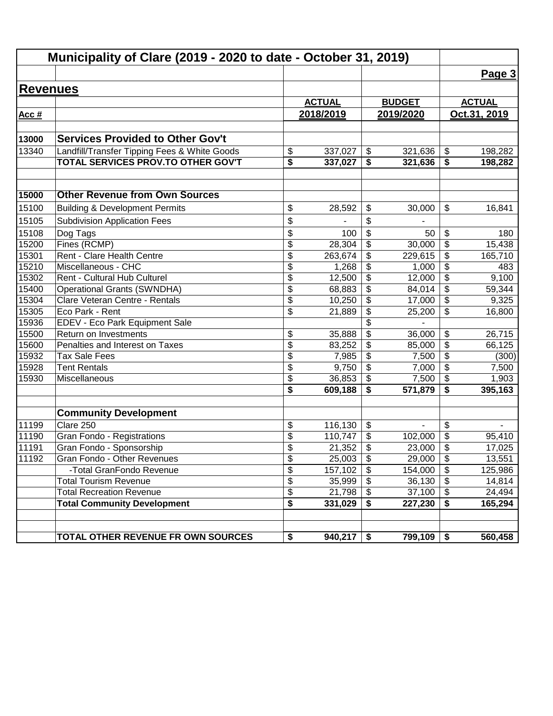| Municipality of Clare (2019 - 2020 to date - October 31, 2019) |                                              |                          |               |                                        |               |                                        |               |
|----------------------------------------------------------------|----------------------------------------------|--------------------------|---------------|----------------------------------------|---------------|----------------------------------------|---------------|
|                                                                |                                              |                          |               |                                        |               |                                        | Page 3        |
| <b>Revenues</b>                                                |                                              |                          |               |                                        |               |                                        |               |
|                                                                |                                              |                          | <b>ACTUAL</b> |                                        | <b>BUDGET</b> |                                        | <b>ACTUAL</b> |
| Acc#                                                           |                                              |                          | 2018/2019     |                                        | 2019/2020     |                                        | Oct.31, 2019  |
|                                                                |                                              |                          |               |                                        |               |                                        |               |
| 13000                                                          | <b>Services Provided to Other Gov't</b>      |                          |               |                                        |               |                                        |               |
| 13340                                                          | Landfill/Transfer Tipping Fees & White Goods | \$                       | 337,027       | $\boldsymbol{\mathsf{S}}$              | 321,636       | $\boldsymbol{\mathsf{\$}}$             | 198,282       |
|                                                                | TOTAL SERVICES PROV.TO OTHER GOV'T           | \$                       | 337,027       | \$                                     | 321,636       | \$                                     | 198,282       |
|                                                                |                                              |                          |               |                                        |               |                                        |               |
| 15000                                                          | <b>Other Revenue from Own Sources</b>        |                          |               |                                        |               |                                        |               |
| 15100                                                          | <b>Building &amp; Development Permits</b>    | \$                       | 28,592        | \$                                     | 30,000        | \$                                     | 16,841        |
| 15105                                                          | <b>Subdivision Application Fees</b>          | \$                       |               | \$                                     |               |                                        |               |
| 15108                                                          | Dog Tags                                     | \$                       | 100           | \$                                     | 50            | \$                                     | 180           |
| 15200                                                          | Fines (RCMP)                                 | $\overline{\mathcal{S}}$ | 28,304        | \$                                     | 30,000        | $\overline{\mathbf{S}}$                | 15,438        |
| 15301                                                          | Rent - Clare Health Centre                   | $\overline{\mathcal{S}}$ | 263,674       | \$                                     | 229,615       | \$                                     | 165,710       |
| 15210                                                          | Miscellaneous - CHC                          | \$                       | 1,268         | \$                                     | 1,000         | \$                                     | 483           |
| 15302                                                          | Rent - Cultural Hub Culturel                 | \$                       | 12,500        | \$                                     | 12,000        | $\overline{\boldsymbol{\theta}}$       | 9,100         |
| 15400                                                          | <b>Operational Grants (SWNDHA)</b>           | $\overline{\mathcal{S}}$ | 68,883        | $\overline{\mathbf{e}}$                | 84,014        | $\overline{\boldsymbol{\theta}}$       | 59,344        |
| 15304                                                          | Clare Veteran Centre - Rentals               | \$                       | 10,250        | \$                                     | 17,000        | $\overline{\mathbf{S}}$                | 9,325         |
| 15305                                                          | Eco Park - Rent                              | \$                       | 21,889        | $\overline{\mathbf{e}}$                | 25,200        | \$                                     | 16,800        |
| 15936                                                          | EDEV - Eco Park Equipment Sale               |                          |               | $\overline{\$}$                        |               |                                        |               |
| 15500                                                          | Return on Investments                        | \$                       | 35,888        | $\overline{\$}$                        | 36,000        | \$                                     | 26,715        |
| 15600                                                          | Penalties and Interest on Taxes              | $\overline{\$}$          | 83,252        | \$                                     | 85,000        | $\overline{\$}$                        | 66,125        |
| 15932                                                          | <b>Tax Sale Fees</b>                         | $\overline{\$}$          | 7,985         | $\overline{\$}$                        | 7,500         | $\overline{\$}$                        | (300)         |
| 15928                                                          | <b>Tent Rentals</b>                          | \$                       | 9,750         | $\overline{\mathcal{S}}$               | 7,000         | $\overline{\mathcal{L}}$               | 7,500         |
| 15930                                                          | Miscellaneous                                | \$                       | 36,853        | \$                                     | 7,500         | $\overline{\$}$                        | 1,903         |
|                                                                |                                              | \$                       | 609,188       | \$                                     | 571,879       | \$                                     | 395,163       |
|                                                                | <b>Community Development</b>                 |                          |               |                                        |               |                                        |               |
| 11199                                                          | Clare 250                                    | \$                       | 116,130       | \$                                     | ä,            | \$                                     |               |
| 11190                                                          | Gran Fondo - Registrations                   | \$                       | 110,747       | \$                                     | 102,000       | \$                                     | 95,410        |
| 11191                                                          | Gran Fondo - Sponsorship                     | \$                       | 21,352        | \$                                     | 23,000        | \$                                     | 17,025        |
| 11192                                                          | Gran Fondo - Other Revenues                  | \$                       | 25,003        | $\boldsymbol{\mathsf{S}}$              | 29,000        | \$                                     | 13,551        |
|                                                                | -Total GranFondo Revenue                     | $\overline{\mathcal{S}}$ | 157,102       | $\overline{\boldsymbol{\mathfrak{s}}}$ | 154,000       | $\overline{\boldsymbol{\mathfrak{s}}}$ | 125,986       |
|                                                                | <b>Total Tourism Revenue</b>                 | $\overline{\mathcal{G}}$ | 35,999        | \$                                     | 36,130        | $\boldsymbol{\mathsf{S}}$              | 14,814        |
|                                                                | <b>Total Recreation Revenue</b>              | $\overline{\mathcal{S}}$ | 21,798        | \$                                     | 37,100        | $\boldsymbol{\mathsf{S}}$              | 24,494        |
|                                                                | <b>Total Community Development</b>           | \$                       | 331,029       | \$                                     | 227,230       | \$                                     | 165,294       |
|                                                                |                                              |                          |               |                                        |               |                                        |               |
|                                                                | TOTAL OTHER REVENUE FR OWN SOURCES           | \$                       | 940,217       | \$                                     | 799,109       | \$                                     | 560,458       |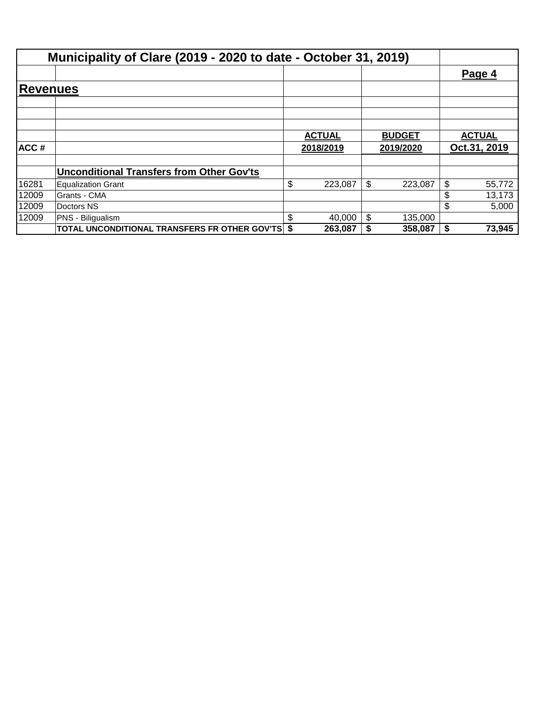|                 | Municipality of Clare (2019 - 2020 to date - October 31, 2019) |           |               |               |               |        |
|-----------------|----------------------------------------------------------------|-----------|---------------|---------------|---------------|--------|
|                 |                                                                |           |               |               | Page 4        |        |
| <b>Revenues</b> |                                                                |           |               |               |               |        |
|                 |                                                                |           |               |               |               |        |
|                 |                                                                |           | <b>ACTUAL</b> | <b>BUDGET</b> | <b>ACTUAL</b> |        |
| ACC#            |                                                                | 2018/2019 |               | 2019/2020     | Oct.31, 2019  |        |
|                 | <b>Unconditional Transfers from Other Gov'ts</b>               |           |               |               |               |        |
| 16281           | <b>Equalization Grant</b>                                      | \$        | 223,087       | \$<br>223,087 | \$            | 55,772 |
| 12009           | Grants - CMA                                                   |           |               |               | \$            | 13,173 |
| 12009           | Doctors NS                                                     |           |               |               | \$            | 5,000  |
| 12009           | PNS - Biligualism                                              | S         | 40,000        | \$<br>135,000 |               |        |
|                 | <b>TOTAL UNCONDITIONAL TRANSFERS FR OTHER GOV'TS \$</b>        |           | 263,087       | 358,087       | \$            | 73,945 |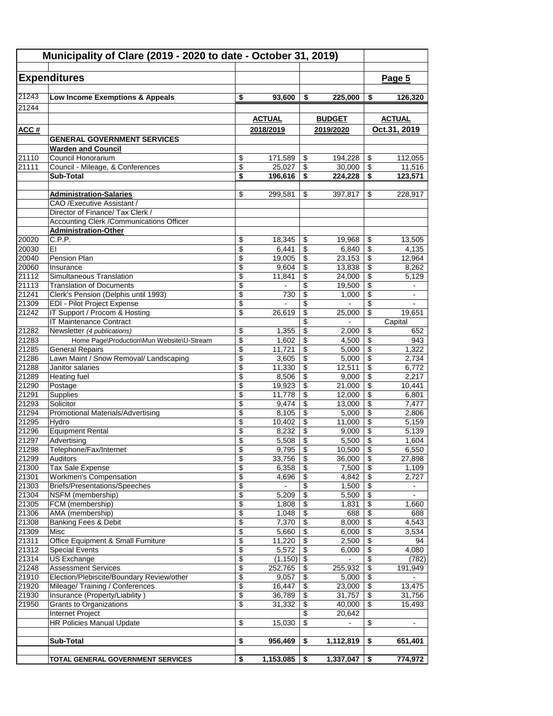| Municipality of Clare (2019 - 2020 to date - October 31, 2019) |                                                                     |                                    |                  |                                    |                  |                                                      |                   |
|----------------------------------------------------------------|---------------------------------------------------------------------|------------------------------------|------------------|------------------------------------|------------------|------------------------------------------------------|-------------------|
|                                                                | <b>Expenditures</b>                                                 |                                    |                  |                                    |                  |                                                      | Page 5            |
| 21243                                                          | Low Income Exemptions & Appeals                                     | \$                                 | 93,600           | \$                                 | 225,000          | \$                                                   | 126,320           |
| 21244                                                          |                                                                     |                                    |                  |                                    |                  |                                                      |                   |
|                                                                |                                                                     |                                    | <b>ACTUAL</b>    |                                    | <b>BUDGET</b>    |                                                      | <b>ACTUAL</b>     |
| ACC#                                                           |                                                                     |                                    | 2018/2019        |                                    | 2019/2020        |                                                      | Oct.31, 2019      |
|                                                                | <b>GENERAL GOVERNMENT SERVICES</b>                                  |                                    |                  |                                    |                  |                                                      |                   |
| 21110                                                          | <b>Warden and Council</b><br>Council Honorarium                     | \$                                 | 171,589          | \$                                 | 194,228          | $\sqrt[6]{3}$                                        |                   |
| 21111                                                          | Council - Mileage, & Conferences                                    | \$                                 | 25,027           | \$                                 | 30,000           | $\overline{\mathcal{E}}$                             | 112,055<br>11,516 |
|                                                                | Sub-Total                                                           | \$                                 | 196,616          | \$                                 | 224,228          | $\overline{\boldsymbol{\mathsf{s}}}$                 | 123,571           |
|                                                                |                                                                     |                                    |                  |                                    |                  |                                                      |                   |
|                                                                | <b>Administration-Salaries</b>                                      | \$                                 | 299,581          | \$                                 | 397,817          | \$                                                   | 228,917           |
|                                                                | CAO / Executive Assistant /<br>Director of Finance/ Tax Clerk /     |                                    |                  |                                    |                  |                                                      |                   |
|                                                                | Accounting Clerk / Communications Officer                           |                                    |                  |                                    |                  |                                                      |                   |
|                                                                | <b>Administration-Other</b>                                         |                                    |                  |                                    |                  |                                                      |                   |
| 20020                                                          | C.P.P.                                                              | \$                                 | 18,345           | \$                                 | 19,968           | \$                                                   | 13,505            |
| 20030                                                          | EI                                                                  | $\overline{\$}$                    | 6,441            | $\overline{\mathbf{S}}$            | 6,840            | \$                                                   | 4,135             |
| 20040                                                          | Pension Plan                                                        | \$                                 | 19,005           | \$                                 | 23,153           | \$                                                   | 12,964            |
| 20060<br>21112                                                 | Insurance<br>Simultaneous Translation                               | \$<br>\$                           | 9,604<br>11,841  | \$<br>\$                           | 13,838<br>24,000 | \$<br>\$                                             | 8,262<br>5,129    |
| 21113                                                          | <b>Translation of Documents</b>                                     | \$                                 |                  | \$                                 | 19,500           | \$                                                   | ÷.                |
| 21241                                                          | Clerk's Pension (Delphis until 1993)                                | \$                                 | 730              | \$                                 | 1,000            | $\overline{\$}$                                      | $\blacksquare$    |
| 21309                                                          | <b>EDI - Pilot Project Expense</b>                                  | $\overline{\$}$                    |                  | \$                                 |                  | \$                                                   |                   |
| 21242                                                          | IT Support / Procom & Hosting                                       | \$                                 | 26,619           | \$                                 | 25,000           | $\overline{\mathcal{L}}$                             | 19,651            |
|                                                                | <b>IT Maintenance Contract</b>                                      |                                    |                  | \$                                 |                  |                                                      | Capital           |
| 21282                                                          | Newsletter (4 publications)                                         | \$<br>\$                           | 1,355<br>1,602   | \$                                 | 2,000            | \$                                                   | 652<br>943        |
| 21283<br>21285                                                 | Home Page\Production\Mun Website\U-Stream<br><b>General Repairs</b> | \$                                 | 11,721           | \$<br>\$                           | 4,500<br>5,000   | \$<br>\$                                             | 1,322             |
| 21286                                                          | Lawn Maint / Snow Removal/ Landscaping                              | \$                                 | 3,605            | \$                                 | 5,000            | \$                                                   | 2,734             |
| 21288                                                          | Janitor salaries                                                    | \$                                 | 11,330           | \$                                 | 12,511           | $\overline{\$}$                                      | 6,772             |
| 21289                                                          | <b>Heating fuel</b>                                                 | \$                                 | 8,506            | \$                                 | 9,000            | $\overline{\$}$                                      | 2,217             |
| 21290                                                          | Postage                                                             | $\overline{\$}$                    | 19,923           | \$                                 | 21,000           | $\overline{\$}$                                      | 10,441            |
| 21291                                                          | Supplies                                                            | \$                                 | 11,778           | \$                                 | 12,000           | $\overline{\$}$                                      | 6,801             |
| 21293<br>21294                                                 | Solicitor<br>Promotional Materials/Advertising                      | \$<br>\$                           | 9,474<br>8,105   | \$<br>\$                           | 13,000<br>5,000  | \$<br>\$                                             | 7,477<br>2,806    |
| 21295                                                          | Hydro                                                               | \$                                 | 10,402           | \$                                 | 11,000           | $\overline{\mathcal{E}}$                             | 5,159             |
| 21296                                                          | <b>Equipment Rental</b>                                             | \$                                 | 8,232            | \$                                 | 9,000            | \$                                                   | 5,139             |
| 21297                                                          | Advertising                                                         | \$                                 | 5,508            | \$                                 | 5,500            | \$                                                   | 1,604             |
| 21298                                                          | Telephone/Fax/Internet                                              | \$                                 | 9,795            | \$                                 | 10,500           | $\overline{\$}$                                      | 6,550             |
| 21299                                                          | Auditors                                                            | \$                                 | 33,756           | \$                                 | 36,000           | \$                                                   | 27,898            |
| 21300<br>21301                                                 | <b>Tax Sale Expense</b><br><b>Workmen's Compensation</b>            | $\overline{\mathcal{L}}$<br>\$     | 6,358<br>4,696   | \$<br>\$                           | 7,500<br>4,842   | $\overline{\$}$<br>$\overline{\mathbf{S}}$           | 1,109<br>2,727    |
| 21303                                                          | Briefs/Presentations/Speeches                                       | \$                                 |                  | \$                                 | 1,500            | $\overline{\mathbf{e}}$                              | $\blacksquare$    |
| 21304                                                          | NSFM (membership)                                                   | \$                                 | 5,209            | \$                                 | 5,500            | $\overline{\mathbf{e}}$                              |                   |
| 21305                                                          | FCM (membership)                                                    | $\overline{\mathcal{E}}$           | 1,808            | \$                                 | 1,831            | \$                                                   | 1,660             |
| 21306                                                          | AMA (membership)                                                    | \$                                 | 1,048            | \$                                 | 688              | $\overline{\$}$                                      | 688               |
| 21308                                                          | <b>Banking Fees &amp; Debit</b>                                     | \$                                 | 7,370            | \$                                 | 8,000            | $\overline{\mathbf{e}}$                              | 4,543             |
| 21309<br>21311                                                 | Misc<br>Office Equipment & Small Furniture                          | $\overline{\$}$<br>$\overline{\$}$ | 5,660<br>11,220  | $\overline{\$}$<br>\$              | 6,000<br>2,500   | $\overline{\mathcal{E}}$<br>$\overline{\mathcal{E}}$ | 3,534<br>94       |
| 21312                                                          | <b>Special Events</b>                                               | $\overline{\$}$                    | 5,572            | $\sqrt[6]{3}$                      | 6,000            | $\overline{\mathcal{L}}$                             | 4,080             |
| 21314                                                          | <b>US Exchange</b>                                                  | $\overline{\$}$                    | (1, 150)         | $\overline{\boldsymbol{\epsilon}}$ | $\blacksquare$   | \$                                                   | (782)             |
| 21248                                                          | <b>Assessment Services</b>                                          | \$                                 | 252,765          | \$                                 | 255,932          | $\overline{\mathcal{S}}$                             | 191,949           |
| 21910                                                          | Election/Plebiscite/Boundary Review/other                           | \$                                 | 9,057            | \$                                 | 5,000            | $\overline{\mathbf{e}}$                              |                   |
| 21920                                                          | Mileage/ Training / Conferences                                     | $\overline{\mathbf{e}}$            | 16,447           | \$                                 | 23,000           | $\overline{\mathbf{e}}$                              | 13,475            |
| 21930<br>21950                                                 | Insurance (Property/Liability)<br><b>Grants to Organizations</b>    | \$<br>\$                           | 36,789<br>31,332 | \$<br>\$                           | 31,757<br>40,000 | $\overline{\mathbf{e}}$<br>\$                        | 31,756<br>15,493  |
|                                                                | Internet Project                                                    |                                    |                  | \$                                 | 20,642           |                                                      |                   |
|                                                                | <b>HR Policies Manual Update</b>                                    | \$                                 | 15,030           | $\overline{\$}$                    |                  | \$                                                   |                   |
|                                                                |                                                                     |                                    |                  |                                    |                  |                                                      |                   |
|                                                                | Sub-Total                                                           | \$                                 | 956,469          | \$                                 | 1,112,819        | \$                                                   | 651,401           |
|                                                                | TOTAL GENERAL GOVERNMENT SERVICES                                   | \$                                 | 1,153,085        | \$                                 | 1,337,047        | \$                                                   | 774,972           |
|                                                                |                                                                     |                                    |                  |                                    |                  |                                                      |                   |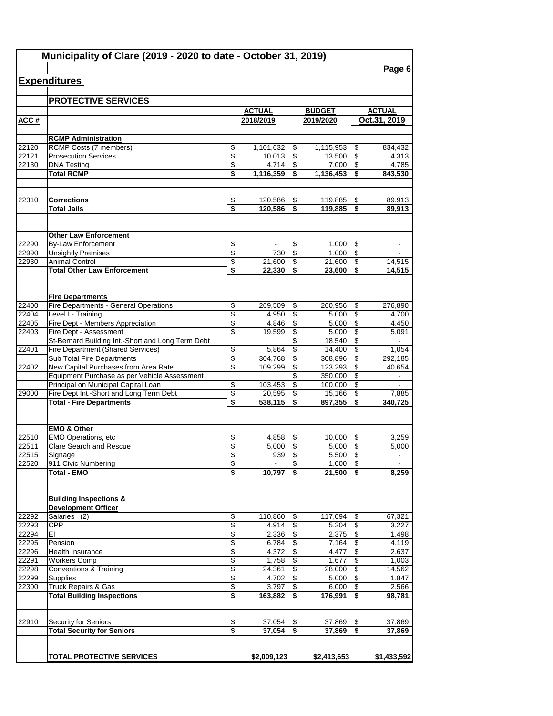|                |                                                                                        |                 |                  |          |                  |                 | Page 6           |
|----------------|----------------------------------------------------------------------------------------|-----------------|------------------|----------|------------------|-----------------|------------------|
|                | <b>Expenditures</b>                                                                    |                 |                  |          |                  |                 |                  |
|                |                                                                                        |                 |                  |          |                  |                 |                  |
|                | <b>PROTECTIVE SERVICES</b>                                                             |                 |                  |          |                  |                 |                  |
|                |                                                                                        |                 | <b>ACTUAL</b>    |          | <b>BUDGET</b>    |                 | <b>ACTUAL</b>    |
| ACC#           |                                                                                        |                 | 2018/2019        |          | 2019/2020        |                 | Oct.31, 2019     |
|                |                                                                                        |                 |                  |          |                  |                 |                  |
| 22120          | <b>RCMP Administration</b><br><b>RCMP Costs (7 members)</b>                            | \$              | 1,101,632        | \$       | 1,115,953        | \$              | 834,432          |
| 22121          | <b>Prosecution Services</b>                                                            | \$              | 10,013           | \$       | 13,500           | \$              | 4,313            |
| 22130          | <b>DNA Testing</b>                                                                     | \$              | 4,714            | \$       | 7,000            | \$              | 4,785            |
|                | <b>Total RCMP</b>                                                                      | \$              | 1,116,359        | \$       | 1,136,453        | \$              | 843,530          |
| 22310          | <b>Corrections</b>                                                                     | \$              | 120,586          | \$       | 119,885          | \$              | 89,913           |
|                | <b>Total Jails</b>                                                                     | \$              | 120,586          | \$       | 119,885          | \$              | 89,913           |
|                |                                                                                        |                 |                  |          |                  |                 |                  |
|                | <b>Other Law Enforcement</b>                                                           |                 |                  |          |                  |                 |                  |
| 22290          | <b>By-Law Enforcement</b>                                                              | \$              |                  | \$       | 1,000            | \$              |                  |
| 22990          | <b>Unsightly Premises</b>                                                              | \$              | 730              | \$       | 1,000            | \$              |                  |
| 22930          | <b>Animal Control</b><br><b>Total Other Law Enforcement</b>                            | \$<br>\$        | 21,600<br>22,330 | \$<br>\$ | 21,600<br>23,600 | \$<br>\$        | 14,515<br>14,515 |
|                |                                                                                        |                 |                  |          |                  |                 |                  |
|                | <b>Fire Departments</b>                                                                |                 |                  |          |                  |                 |                  |
| 22400          | Fire Departments - General Operations                                                  | \$              | 269,509          | \$       | 260,956          | \$              | 276,890          |
| 22404          | Level I - Training                                                                     | $\overline{\$}$ | 4,950            | \$       | 5,000            | \$              | 4,700            |
| 22405          | Fire Dept - Members Appreciation                                                       | \$              | 4,846            | \$       | 5,000            | \$              | 4,450            |
| 22403          | Fire Dept - Assessment                                                                 | \$              | 19,599           | \$       | 5,000            | \$              | 5,091            |
| 22401          | St-Bernard Building Int.-Short and Long Term Debt<br>Fire Department (Shared Services) | \$              | 5,864            | \$<br>\$ | 18,540<br>14,400 | \$<br>\$        | 1,054            |
|                | Sub Total Fire Departments                                                             | \$              | 304,768          | \$       | 308,896          | \$              | 292,185          |
| 22402          | New Capital Purchases from Area Rate                                                   | \$              | 109,299          | \$       | 123,293          | \$              | 40,654           |
|                | Equipment Purchase as per Vehicle Assessment                                           |                 |                  | \$       | 350,000          | \$              |                  |
|                | Principal on Municipal Capital Loan                                                    | \$              | 103,453          | \$       | 100,000          | \$              |                  |
| 29000          | Fire Dept Int.-Short and Long Term Debt                                                | \$              | 20,595           | \$       | 15,166           | \$              | 7,885            |
|                | <b>Total - Fire Departments</b>                                                        | \$              | 538,115          | \$       | 897,355          | \$              | 340,725          |
|                | <b>EMO &amp; Other</b>                                                                 |                 |                  |          |                  |                 |                  |
| 22510          | <b>EMO Operations, etc</b>                                                             | \$              | 4,858            | \$       | 10,000           | \$              | 3,259            |
| 22511          | Clare Search and Rescue                                                                | \$              | $5,000$          | \$       | $5,000$   \$     |                 | 5,000            |
| 22515          | Signage                                                                                | \$              | 939              | \$       | 5,500            | \$              |                  |
| 22520          | 911 Civic Numbering<br><b>Total - EMO</b>                                              | \$<br>\$        | 10,797           | \$<br>\$ | 1,000<br>21,500  | \$<br>\$        | 8,259            |
|                |                                                                                        |                 |                  |          |                  |                 |                  |
|                | <b>Building Inspections &amp;</b><br><b>Development Officer</b>                        |                 |                  |          |                  |                 |                  |
| 22292          | Salaries (2)                                                                           | \$              | 110,860          | \$       | 117,094          | \$              | 67,321           |
| 22293          | <b>CPP</b>                                                                             | \$              | 4,914            | \$       | 5,204            | $\overline{\$}$ | 3,227            |
| 22294          | EI                                                                                     | \$              | 2,336            | \$       | 2,375            | \$              | 1,498            |
| 22295          | Pension                                                                                | \$              | 6,784            | \$       | 7,164            | \$              | 4,119            |
| 22296          | Health Insurance                                                                       | \$              | 4,372            | \$       | 4,477            | \$              | 2,637            |
| 22291          | <b>Workers Comp</b>                                                                    | \$              | 1,758            | \$       | 1,677            | \$              | 1,003            |
| 22298          | <b>Conventions &amp; Training</b>                                                      | \$              | 24,361           | \$       | 28,000           | \$              | 14,562           |
| 22299<br>22300 | Supplies<br>Truck Repairs & Gas                                                        | \$<br>\$        | 4,702<br>3,797   | \$<br>\$ | 5,000<br>6,000   | \$<br>\$        | 1,847<br>2,566   |
|                | <b>Total Building Inspections</b>                                                      | \$              | 163,882          | \$       | 176,991          | \$              | 98,781           |
|                |                                                                                        |                 |                  |          |                  |                 |                  |
| 22910          | <b>Security for Seniors</b>                                                            | \$              | 37,054           | \$       | 37,869           | \$              | 37,869           |
|                | <b>Total Security for Seniors</b>                                                      | \$              | 37,054           | \$       | 37,869           | \$              | 37,869           |
|                | <b>TOTAL PROTECTIVE SERVICES</b>                                                       |                 | \$2,009,123      |          | \$2,413,653      |                 | \$1,433,592      |
|                |                                                                                        |                 |                  |          |                  |                 |                  |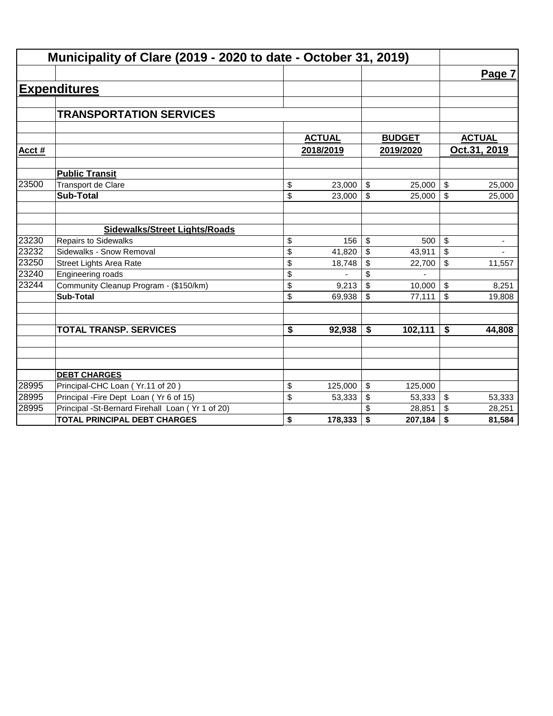|        | Municipality of Clare (2019 - 2020 to date - October 31, 2019) |    |               |                           |               |    |                          |  |  |
|--------|----------------------------------------------------------------|----|---------------|---------------------------|---------------|----|--------------------------|--|--|
|        |                                                                |    |               |                           |               |    | Page 7                   |  |  |
|        | <b>Expenditures</b>                                            |    |               |                           |               |    |                          |  |  |
|        |                                                                |    |               |                           |               |    |                          |  |  |
|        | <b>TRANSPORTATION SERVICES</b>                                 |    |               |                           |               |    |                          |  |  |
|        |                                                                |    |               |                           |               |    |                          |  |  |
|        |                                                                |    | <b>ACTUAL</b> |                           | <b>BUDGET</b> |    | <b>ACTUAL</b>            |  |  |
| Acct # |                                                                |    | 2018/2019     |                           | 2019/2020     |    | Oct.31, 2019             |  |  |
|        | <b>Public Transit</b>                                          |    |               |                           |               |    |                          |  |  |
| 23500  | <b>Transport de Clare</b>                                      | \$ | 23,000        | $\boldsymbol{\mathsf{S}}$ | 25,000        | \$ | 25,000                   |  |  |
|        | <b>Sub-Total</b>                                               | \$ | 23,000        | \$                        | 25,000        | \$ | 25,000                   |  |  |
|        |                                                                |    |               |                           |               |    |                          |  |  |
|        | <b>Sidewalks/Street Lights/Roads</b>                           |    |               |                           |               |    |                          |  |  |
| 23230  | <b>Repairs to Sidewalks</b>                                    | \$ | 156           | \$                        | 500           | \$ | ٠                        |  |  |
| 23232  | Sidewalks - Snow Removal                                       | \$ | 41,820        | \$                        | 43,911        | \$ | $\overline{\phantom{a}}$ |  |  |
| 23250  | <b>Street Lights Area Rate</b>                                 | \$ | 18,748        | \$                        | 22,700        | \$ | 11,557                   |  |  |
| 23240  | Engineering roads                                              | \$ |               | \$                        |               |    |                          |  |  |
| 23244  | Community Cleanup Program - (\$150/km)                         | \$ | 9,213         | \$                        | 10,000        | \$ | 8,251                    |  |  |
|        | <b>Sub-Total</b>                                               | \$ | 69,938        | \$                        | 77,111        | \$ | 19,808                   |  |  |
|        |                                                                |    |               |                           |               |    |                          |  |  |
|        | <b>TOTAL TRANSP. SERVICES</b>                                  | \$ | 92,938        | \$                        | 102,111       | \$ | 44,808                   |  |  |
|        |                                                                |    |               |                           |               |    |                          |  |  |
|        |                                                                |    |               |                           |               |    |                          |  |  |
|        | <b>DEBT CHARGES</b>                                            |    |               |                           |               |    |                          |  |  |
| 28995  | Principal-CHC Loan (Yr.11 of 20)                               | \$ | 125,000       | \$                        | 125,000       |    |                          |  |  |
| 28995  | Principal - Fire Dept Loan (Yr 6 of 15)                        | \$ | 53,333        | \$                        | 53,333        | \$ | 53,333                   |  |  |
| 28995  | Principal -St-Bernard Firehall Loan (Yr 1 of 20)               |    |               |                           | 28,851        | \$ | 28,251                   |  |  |
|        | <b>TOTAL PRINCIPAL DEBT CHARGES</b>                            | \$ | 178,333       | \$                        | 207,184       | \$ | 81,584                   |  |  |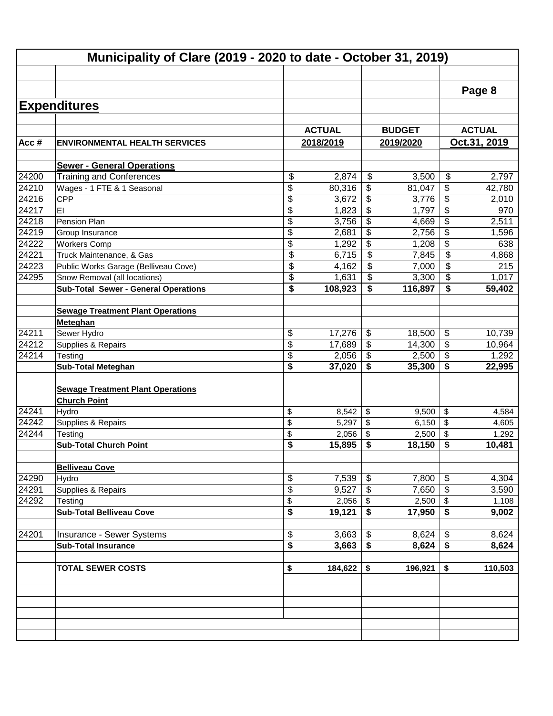|       |                                             |               |                                      |               |                                  | Page 8        |
|-------|---------------------------------------------|---------------|--------------------------------------|---------------|----------------------------------|---------------|
|       | <b>Expenditures</b>                         |               |                                      |               |                                  |               |
|       |                                             |               |                                      |               |                                  |               |
|       |                                             | <b>ACTUAL</b> |                                      | <b>BUDGET</b> |                                  | <b>ACTUAL</b> |
| Acc#  | <b>ENVIRONMENTAL HEALTH SERVICES</b>        | 2018/2019     |                                      | 2019/2020     |                                  | Oct.31, 2019  |
|       | <b>Sewer - General Operations</b>           |               |                                      |               |                                  |               |
| 24200 | <b>Training and Conferences</b>             | \$<br>2,874   | \$                                   | 3,500         | \$                               | 2,797         |
| 24210 | Wages - 1 FTE & 1 Seasonal                  | \$<br>80,316  | \$                                   | 81,047        | \$                               | 42,780        |
| 24216 | <b>CPP</b>                                  | \$<br>3,672   | \$                                   | 3,776         | \$                               | 2,010         |
| 24217 | EI                                          | \$<br>1,823   | \$                                   | 1,797         | \$                               | 970           |
| 24218 | Pension Plan                                | \$<br>3,756   | \$                                   | 4,669         | \$                               | 2,511         |
| 24219 | Group Insurance                             | \$<br>2,681   | \$                                   | 2,756         | \$                               | 1,596         |
| 24222 | <b>Workers Comp</b>                         | \$<br>1,292   | $\overline{\mathbf{3}}$              | 1,208         | \$                               | 638           |
| 24221 | Truck Maintenance, & Gas                    | \$<br>6,715   | \$                                   | 7,845         | \$                               | 4,868         |
| 24223 | Public Works Garage (Belliveau Cove)        | \$<br>4,162   | \$                                   | 7,000         | \$                               | 215           |
| 24295 | Snow Removal (all locations)                | \$<br>1,631   | \$                                   | 3,300         | \$                               | 1,017         |
|       | <b>Sub-Total Sewer - General Operations</b> | \$<br>108,923 | \$                                   | 116,897       | \$                               | 59,402        |
|       |                                             |               |                                      |               |                                  |               |
|       | <b>Sewage Treatment Plant Operations</b>    |               |                                      |               |                                  |               |
| 24211 | Meteghan                                    |               |                                      |               |                                  |               |
|       | Sewer Hydro                                 | \$<br>17,276  | \$<br>\$                             | 18,500        | $\boldsymbol{\mathsf{\$}}$<br>\$ | 10,739        |
| 24212 | Supplies & Repairs                          | \$<br>17,689  |                                      | 14,300        |                                  | 10,964        |
| 24214 | Testing                                     | \$<br>2,056   | \$                                   | 2,500         | $\sqrt[6]{3}$                    | 1,292         |
|       | <b>Sub-Total Meteghan</b>                   | \$<br>37,020  | \$                                   | 35,300        | \$                               | 22,995        |
|       | <b>Sewage Treatment Plant Operations</b>    |               |                                      |               |                                  |               |
|       | <b>Church Point</b>                         |               |                                      |               |                                  |               |
| 24241 | Hydro                                       | \$<br>8,542   | \$                                   | 9,500         | $\sqrt[6]{\frac{1}{2}}$          | 4,584         |
| 24242 | Supplies & Repairs                          | \$<br>5,297   | \$                                   | 6,150         | \$                               | 4,605         |
| 24244 | Testing                                     | \$<br>2,056   | \$                                   | 2,500         | \$                               | 1,292         |
|       | <b>Sub-Total Church Point</b>               | \$<br>15,895  | \$                                   | 18,150        | \$                               | 10,481        |
|       |                                             |               |                                      |               |                                  |               |
| 24290 | <b>Belliveau Cove</b><br>Hydro              | \$<br>7,539   | \$                                   | 7,800         | \$                               | 4,304         |
| 24291 | Supplies & Repairs                          | \$<br>9,527   | \$                                   | $7,650$ \ \$  |                                  | 3,590         |
| 24292 | Testing                                     | \$<br>2,056   | $\$\$                                | $2,500$ \$    |                                  | 1,108         |
|       | <b>Sub-Total Belliveau Cove</b>             | \$<br>19,121  | $\overline{\boldsymbol{\mathsf{s}}}$ | $17,950$ \$   |                                  | 9,002         |
|       |                                             |               |                                      |               |                                  |               |
| 24201 | Insurance - Sewer Systems                   | \$<br>3,663   | \$                                   | 8,624         | $\$\,$                           | 8,624         |
|       | <b>Sub-Total Insurance</b>                  | \$<br>3,663   | $\overline{\boldsymbol{\mathsf{s}}}$ | 8,624         | $\overline{\bullet}$             | 8,624         |
|       | <b>TOTAL SEWER COSTS</b>                    | \$<br>184,622 | \$                                   | 196,921       | \$                               | 110,503       |
|       |                                             |               |                                      |               |                                  |               |
|       |                                             |               |                                      |               |                                  |               |
|       |                                             |               |                                      |               |                                  |               |
|       |                                             |               |                                      |               |                                  |               |
|       |                                             |               |                                      |               |                                  |               |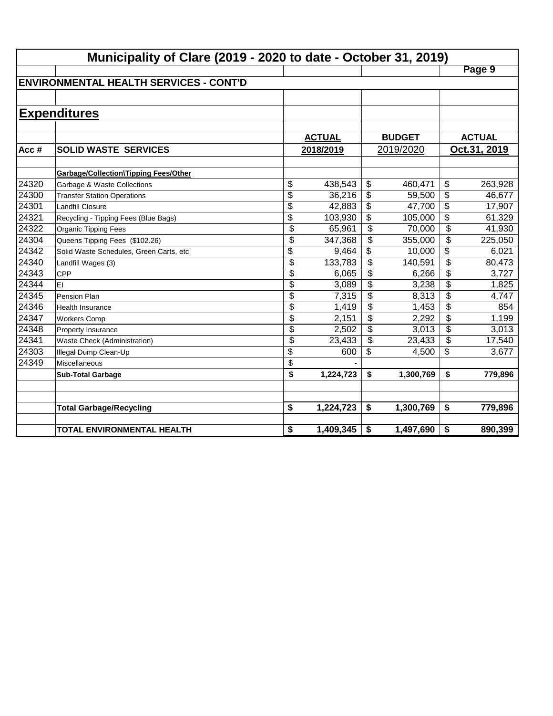|       | Municipality of Clare (2019 - 2020 to date - October 31, 2019) |                 |               |                          |               |                           |               |  |  |
|-------|----------------------------------------------------------------|-----------------|---------------|--------------------------|---------------|---------------------------|---------------|--|--|
|       |                                                                |                 |               |                          |               |                           | Page 9        |  |  |
|       | <b>ENVIRONMENTAL HEALTH SERVICES - CONT'D</b>                  |                 |               |                          |               |                           |               |  |  |
|       |                                                                |                 |               |                          |               |                           |               |  |  |
|       | <b>Expenditures</b>                                            |                 |               |                          |               |                           |               |  |  |
|       |                                                                |                 |               |                          |               |                           |               |  |  |
|       |                                                                |                 | <b>ACTUAL</b> |                          | <b>BUDGET</b> |                           | <b>ACTUAL</b> |  |  |
| Acc#  | <b>SOLID WASTE SERVICES</b>                                    |                 | 2018/2019     |                          | 2019/2020     |                           | Oct.31, 2019  |  |  |
|       |                                                                |                 |               |                          |               |                           |               |  |  |
|       | Garbage/Collection\Tipping Fees/Other                          |                 |               |                          |               |                           |               |  |  |
| 24320 | Garbage & Waste Collections                                    | \$              | 438,543       | \$                       | 460,471       | \$                        | 263,928       |  |  |
| 24300 | <b>Transfer Station Operations</b>                             | \$              | 36,216        | \$                       | 59,500        | $\overline{\$}$           | 46,677        |  |  |
| 24301 | <b>Landfill Closure</b>                                        | $\overline{\$}$ | 42,883        | \$                       | 47,700        | $\overline{\$}$           | 17,907        |  |  |
| 24321 | Recycling - Tipping Fees (Blue Bags)                           | $\overline{\$}$ | 103,930       | \$                       | 105,000       | $\overline{\$}$           | 61,329        |  |  |
| 24322 | <b>Organic Tipping Fees</b>                                    | \$              | 65,961        | $\overline{\mathcal{S}}$ | 70,000        | $\overline{\mathcal{L}}$  | 41,930        |  |  |
| 24304 | Queens Tipping Fees (\$102.26)                                 | \$              | 347,368       | \$                       | 355,000       | \$                        | 225,050       |  |  |
| 24342 | Solid Waste Schedules, Green Carts, etc                        | \$              | 9,464         | \$                       | 10,000        | $\overline{\mathfrak{s}}$ | 6,021         |  |  |
| 24340 | Landfill Wages (3)                                             | \$              | 133,783       | $\overline{\mathcal{L}}$ | 140,591       | $\overline{\mathcal{L}}$  | 80,473        |  |  |
| 24343 | CPP                                                            | \$              | 6,065         | \$                       | 6,266         | \$                        | 3,727         |  |  |
| 24344 | EI                                                             | \$              | 3,089         | \$                       | 3,238         | \$                        | 1,825         |  |  |
| 24345 | Pension Plan                                                   | \$              | 7,315         | \$                       | 8,313         | \$                        | 4,747         |  |  |
| 24346 | <b>Health Insurance</b>                                        | \$              | 1,419         | $\frac{1}{2}$            | 1,453         | \$                        | 854           |  |  |
| 24347 | <b>Workers Comp</b>                                            | \$              | 2,151         | \$                       | 2,292         | \$                        | 1,199         |  |  |
| 24348 | Property Insurance                                             | \$              | 2,502         | \$                       | 3,013         | \$                        | 3,013         |  |  |
| 24341 | Waste Check (Administration)                                   | \$              | 23,433        | \$                       | 23,433        | \$                        | 17,540        |  |  |
| 24303 | Illegal Dump Clean-Up                                          | \$              | 600           | \$                       | 4,500         | \$                        | 3,677         |  |  |
| 24349 | Miscellaneous                                                  | \$              |               |                          |               |                           |               |  |  |
|       | <b>Sub-Total Garbage</b>                                       | \$              | 1,224,723     | \$                       | 1,300,769     | \$                        | 779,896       |  |  |
|       |                                                                |                 |               |                          |               |                           |               |  |  |
|       |                                                                |                 |               |                          |               |                           |               |  |  |
|       | <b>Total Garbage/Recycling</b>                                 | \$              | 1,224,723     | \$                       | 1,300,769     | \$                        | 779,896       |  |  |
|       | TOTAL ENVIRONMENTAL HEALTH                                     | \$              | 1,409,345     | \$                       | 1,497,690     | \$                        | 890,399       |  |  |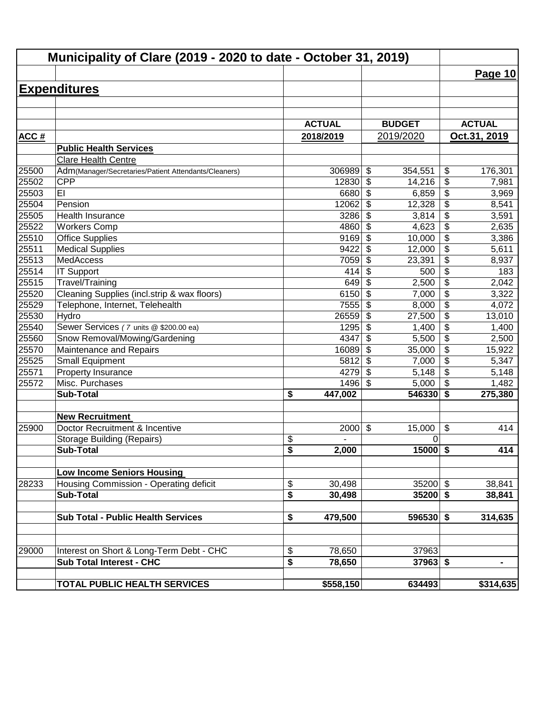|             | Municipality of Clare (2019 - 2020 to date - October 31, 2019) |                                  |                                            |                                           |
|-------------|----------------------------------------------------------------|----------------------------------|--------------------------------------------|-------------------------------------------|
|             |                                                                |                                  |                                            | Page 10                                   |
|             | <b>Expenditures</b>                                            |                                  |                                            |                                           |
|             |                                                                |                                  |                                            |                                           |
|             |                                                                |                                  |                                            |                                           |
|             |                                                                | <b>ACTUAL</b>                    | <b>BUDGET</b>                              | <b>ACTUAL</b>                             |
| <b>ACC#</b> |                                                                | 2018/2019                        | 2019/2020                                  | Oct.31, 2019                              |
|             | <b>Public Health Services</b>                                  |                                  |                                            |                                           |
|             | <b>Clare Health Centre</b>                                     |                                  |                                            |                                           |
| 25500       | Adm(Manager/Secretaries/Patient Attendants/Cleaners)           | 306989                           | $\boldsymbol{\mathsf{S}}$<br>354,551       | \$<br>176,301                             |
| 25502       | <b>CPP</b>                                                     | 12830                            | $\boldsymbol{\mathsf{S}}$<br>14,216        | \$<br>7,981                               |
| 25503       | EI                                                             | 6680                             | $\boldsymbol{\mathsf{S}}$<br>6,859         | $\overline{\$}$<br>3,969                  |
| 25504       | Pension                                                        | 12062                            | $\overline{\boldsymbol{\theta}}$<br>12,328 | $\overline{\boldsymbol{\theta}}$<br>8,541 |
| 25505       | <b>Health Insurance</b>                                        | 3286                             | $\overline{\mathbf{s}}$<br>3,814           | $\overline{\$}$<br>3,591                  |
| 25522       | <b>Workers Comp</b>                                            | 4860                             | $\boldsymbol{\mathsf{S}}$<br>4,623         | $\overline{\$}$<br>2,635                  |
| 25510       | <b>Office Supplies</b>                                         | 9169                             | \$<br>10,000                               | $\overline{\$}$<br>3,386                  |
| 25511       | <b>Medical Supplies</b>                                        | 9422                             | \$<br>12,000                               | $\overline{\$}$<br>5,611                  |
| 25513       | <b>MedAccess</b>                                               | 7059                             | \$<br>23,391                               | $\overline{\$}$<br>8,937                  |
| 25514       | <b>IT Support</b>                                              | 414                              | \$<br>500                                  | $\overline{\$}$<br>183                    |
| 25515       | Travel/Training                                                | 649                              | $\boldsymbol{\mathsf{S}}$<br>2,500         | $\overline{\$}$<br>2,042                  |
| 25520       | Cleaning Supplies (incl.strip & wax floors)                    | 6150                             | \$<br>7,000                                | \$<br>3,322                               |
| 25529       | Telephone, Internet, Telehealth                                | 7555                             | \$<br>8,000                                | \$<br>4,072                               |
| 25530       | Hydro                                                          | 26559                            | $\boldsymbol{\mathsf{S}}$<br>27,500        | $\overline{\mathcal{L}}$<br>13,010        |
| 25540       | Sewer Services (7 units @ \$200.00 ea)                         | 1295                             | \$<br>1,400                                | $\overline{\mathcal{L}}$<br>1,400         |
| 25560       | Snow Removal/Mowing/Gardening                                  | 4347                             | \$<br>5,500                                | $\overline{\mathbf{S}}$<br>2,500          |
| 25570       | Maintenance and Repairs                                        | 16089                            | \$<br>35,000                               | \$<br>15,922                              |
| 25525       | <b>Small Equipment</b>                                         | 5812                             | \$<br>7,000                                | \$<br>5,347                               |
| 25571       | Property Insurance                                             | 4279                             | $\boldsymbol{\mathsf{S}}$<br>5,148         | \$<br>5,148                               |
| 25572       | Misc. Purchases                                                | 1496                             | $\boldsymbol{\mathsf{S}}$<br>5,000         | $\boldsymbol{\mathsf{S}}$<br>1,482        |
|             | <b>Sub-Total</b>                                               | \$<br>447,002                    | 546330                                     | $\boldsymbol{\mathsf{s}}$<br>275,380      |
|             | <b>New Recruitment</b>                                         |                                  |                                            |                                           |
| 25900       | Doctor Recruitment & Incentive                                 | 2000                             | $\boldsymbol{\mathsf{S}}$<br>15,000        | \$<br>414                                 |
|             | <b>Storage Building (Repairs)</b>                              | $\frac{1}{2}$                    | 0                                          |                                           |
|             | <b>Sub-Total</b>                                               | $\overline{\mathbf{s}}$<br>2,000 | $15000$ \$                                 | 414                                       |
|             | <b>Low Income Seniors Housing</b>                              |                                  |                                            |                                           |
| 28233       | Housing Commission - Operating deficit                         | \$<br>30,498                     | $35200$ \$                                 | 38,841                                    |
|             | <b>Sub-Total</b>                                               | \$<br>30,498                     | $35200$ \$                                 | 38,841                                    |
|             |                                                                |                                  |                                            |                                           |
|             | <b>Sub Total - Public Health Services</b>                      | 479,500<br>\$                    | $596530$ \$                                | 314,635                                   |
|             |                                                                |                                  |                                            |                                           |
| 29000       | Interest on Short & Long-Term Debt - CHC                       | \$<br>78,650                     | 37963                                      |                                           |
|             | <b>Sub Total Interest - CHC</b>                                | \$<br>78,650                     | $37963$ \$                                 | Ξ.                                        |
|             | TOTAL PUBLIC HEALTH SERVICES                                   | \$558,150                        | 634493                                     | \$314,635                                 |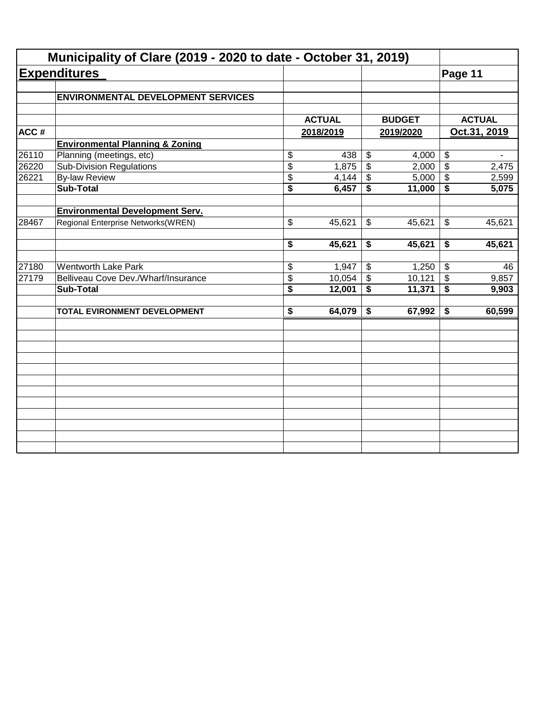|       | Municipality of Clare (2019 - 2020 to date - October 31, 2019) |                                      |               |                           |               |                            |               |
|-------|----------------------------------------------------------------|--------------------------------------|---------------|---------------------------|---------------|----------------------------|---------------|
|       | <b>Expenditures</b>                                            |                                      |               |                           |               | Page 11                    |               |
|       | <b>ENVIRONMENTAL DEVELOPMENT SERVICES</b>                      |                                      |               |                           |               |                            |               |
|       |                                                                |                                      | <b>ACTUAL</b> |                           | <b>BUDGET</b> |                            | <b>ACTUAL</b> |
| ACC#  |                                                                |                                      | 2018/2019     |                           | 2019/2020     | Oct.31, 2019               |               |
|       | <b>Environmental Planning &amp; Zoning</b>                     |                                      |               |                           |               |                            |               |
| 26110 | Planning (meetings, etc)                                       | \$                                   | 438           | \$                        | 4,000         | $\boldsymbol{\theta}$      |               |
| 26220 | <b>Sub-Division Regulations</b>                                | $\overline{\$}$                      | 1,875         | $\overline{\$}$           | 2,000         | $\overline{\$}$            | 2,475         |
| 26221 | <b>By-law Review</b>                                           | \$                                   | 4,144         | \$                        | 5,000         | $\boldsymbol{\mathcal{F}}$ | 2,599         |
|       | <b>Sub-Total</b>                                               | $\overline{\$}$                      | 6,457         | \$                        | 11,000        | \$                         | 5,075         |
|       | <b>Environmental Development Serv.</b>                         |                                      |               |                           |               |                            |               |
| 28467 | Regional Enterprise Networks(WREN)                             | \$                                   | 45,621        | \$                        | 45,621        | \$                         | 45,621        |
|       |                                                                | \$                                   | 45,621        | \$                        | 45,621        | \$                         | 45,621        |
| 27180 | <b>Wentworth Lake Park</b>                                     | \$                                   | 1,947         | \$                        | 1,250         | $\sqrt[6]{3}$              | 46            |
| 27179 | Belliveau Cove Dev./Wharf/Insurance                            | \$                                   | 10,054        | $\boldsymbol{\mathsf{S}}$ | 10,121        | $\boldsymbol{\mathsf{S}}$  | 9,857         |
|       | <b>Sub-Total</b>                                               | $\overline{\boldsymbol{\mathsf{s}}}$ | 12,001        | \$                        | 11,371        | $\overline{\bullet}$       | 9,903         |
|       | TOTAL EVIRONMENT DEVELOPMENT                                   | $\overline{\boldsymbol{\mathsf{s}}}$ | 64,079        | \$                        | 67,992        | \$                         | 60,599        |
|       |                                                                |                                      |               |                           |               |                            |               |
|       |                                                                |                                      |               |                           |               |                            |               |
|       |                                                                |                                      |               |                           |               |                            |               |
|       |                                                                |                                      |               |                           |               |                            |               |
|       |                                                                |                                      |               |                           |               |                            |               |
|       |                                                                |                                      |               |                           |               |                            |               |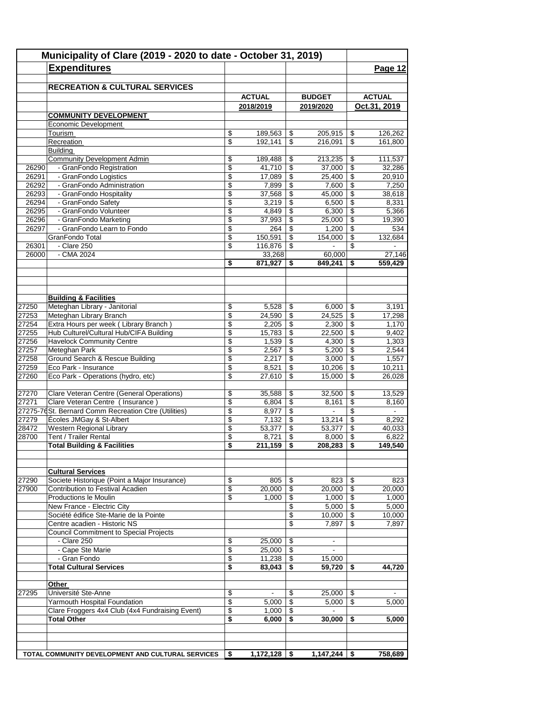|                | Municipality of Clare (2019 - 2020 to date - October 31, 2019) |          |                   |                          |                  |                          |                                    |  |
|----------------|----------------------------------------------------------------|----------|-------------------|--------------------------|------------------|--------------------------|------------------------------------|--|
|                | <b>Expenditures</b>                                            |          |                   |                          |                  |                          | Page 12                            |  |
|                |                                                                |          |                   |                          |                  |                          |                                    |  |
|                | <b>RECREATION &amp; CULTURAL SERVICES</b>                      |          |                   |                          |                  |                          |                                    |  |
|                |                                                                |          | <b>ACTUAL</b>     |                          | <b>BUDGET</b>    |                          | <b>ACTUAL</b>                      |  |
|                |                                                                |          | 2018/2019         |                          | 2019/2020        |                          | Oct.31, 2019                       |  |
|                | <b>COMMUNITY DEVELOPMENT</b>                                   |          |                   |                          |                  |                          |                                    |  |
|                | Economic Development                                           |          |                   |                          |                  |                          |                                    |  |
|                | Tourism                                                        | \$       | 189,563           | \$                       | 205,915          | \$                       | 126,262                            |  |
|                | Recreation                                                     | \$       | 192,141           | \$                       | 216,091          | \$                       | 161,800                            |  |
|                | Building<br><b>Community Development Admin</b>                 | \$       | 189,488           | \$                       | 213,235          | \$                       | 111,537                            |  |
| 26290          | - GranFondo Registration                                       | \$       | 41,710            | $\overline{\mathcal{L}}$ | 37,000           | \$                       | 32,286                             |  |
| 26291          | - GranFondo Logistics                                          | \$       | 17,089            | \$                       | 25,400           | \$                       | 20,910                             |  |
| 26292          | - GranFondo Administration                                     | \$       | 7,899             | \$                       | 7,600            | \$                       | 7,250                              |  |
| 26293          | - GranFondo Hospitality                                        | \$       | 37,568            | \$                       | 45,000           | \$                       | 38,618                             |  |
| 26294          | - GranFondo Safety                                             | \$       | 3,219             | \$                       | 6,500            | \$                       | 8,331                              |  |
| 26295          | - GranFondo Volunteer                                          | \$       | 4,849             | $\overline{\mathcal{L}}$ | 6,300            | $\overline{\mathcal{L}}$ | 5,366                              |  |
| 26296          | - GranFondo Marketing                                          | \$       | 37,993            | \$                       | 25,000           | \$                       | 19,390                             |  |
| 26297          | - GranFondo Learn to Fondo                                     | \$       | 264               | \$                       | 1,200            | \$                       | 534                                |  |
|                | GranFondo Total                                                | \$       | 150,591           | \$                       | 154,000          | \$                       | 132,684                            |  |
| 26301<br>26000 | - Clare 250<br>$-CMA$ 2024                                     | \$       | 116,876<br>33,268 | \$                       | 60,000           | \$                       | $\overline{\phantom{a}}$<br>27,146 |  |
|                |                                                                | \$       | 871,927           | \$                       | 849,241          | \$                       | 559,429                            |  |
|                |                                                                |          |                   |                          |                  |                          |                                    |  |
|                |                                                                |          |                   |                          |                  |                          |                                    |  |
|                |                                                                |          |                   |                          |                  |                          |                                    |  |
|                | <b>Building &amp; Facilities</b>                               |          |                   |                          |                  |                          |                                    |  |
| 27250          | Meteghan Library - Janitorial                                  | \$       | 5,528             | \$                       | 6,000            | \$                       | 3,191                              |  |
| 27253          | Meteghan Library Branch                                        | \$       | 24,590            | \$                       | 24,525           | \$                       | 17,298                             |  |
| 27254          | Extra Hours per week (Library Branch)                          | \$       | 2,205             | $\sqrt[6]{3}$            | 2,300            | \$                       | 1,170                              |  |
| 27255          | Hub Culturel/Cultural Hub/CIFA Building                        | \$       | 15,783            | \$                       | 22,500           | \$                       | 9,402                              |  |
| 27256          | <b>Havelock Community Centre</b>                               | \$       | 1,539             | \$                       | 4,300            | \$                       | 1,303                              |  |
| 27257          | Meteghan Park                                                  | \$       | 2,567             | \$                       | 5,200            | \$                       | 2,544                              |  |
| 27258          | <b>Ground Search &amp; Rescue Building</b>                     | \$       | 2,217             | \$<br>\$                 | 3,000            | \$<br>\$                 | 1,557                              |  |
| 27259<br>27260 | Eco Park - Insurance<br>Eco Park - Operations (hydro, etc)     | \$<br>\$ | 8,521<br>27,610   | \$                       | 10,206<br>15,000 | \$                       | 10,211<br>26,028                   |  |
|                |                                                                |          |                   |                          |                  |                          |                                    |  |
| 27270          | Clare Veteran Centre (General Operations)                      | \$       | 35,588            | \$                       | 32,500           | \$                       | 13,529                             |  |
| 27271          | Clare Veteran Centre (Insurance)                               | \$       | 6,804             | \$                       | 8,161            | \$                       | 8,160                              |  |
|                | 27275-76 St. Bernard Comm Recreation Ctre (Utilities)          | \$       | 8,977             | $\sqrt[6]{3}$            | $\blacksquare$   | $\overline{\$}$          | $\blacksquare$                     |  |
| 27279          | Écoles JMGay & St-Albert                                       | \$       | 7,132             | \$                       | 13,214           | \$                       | 8,292                              |  |
| 28472          | Western Regional Library                                       | \$       | 53,377            | \$                       | 53,377           | \$                       | 40,033                             |  |
| 28700          | Tent / Trailer Rental                                          | \$       | 8,721             | \$                       | 8,000            | \$                       | 6,822                              |  |
|                | <b>Total Building &amp; Facilities</b>                         | \$       | 211,159           | \$                       | 208,283          | \$                       | 149,540                            |  |
|                |                                                                |          |                   |                          |                  |                          |                                    |  |
|                | <b>Cultural Services</b>                                       |          |                   |                          |                  |                          |                                    |  |
| 27290          | Societe Historique (Point a Major Insurance)                   | \$       | 805               | \$                       | 823              | \$                       | 823                                |  |
| 27900          | Contribution to Festival Acadien                               | \$       | 20,000            | \$                       | 20,000           | \$                       | 20,000                             |  |
|                | Productions le Moulin                                          | \$       | 1,000             | \$                       | 1,000            | \$                       | 1,000                              |  |
|                | New France - Electric City                                     |          |                   | \$                       | 5,000            | \$                       | 5,000                              |  |
|                | Société édifice Ste-Marie de la Pointe                         |          |                   | \$                       | 10,000           | \$                       | 10,000                             |  |
|                | Centre acadien - Historic NS                                   |          |                   | \$                       | 7,897            | \$                       | 7,897                              |  |
|                | <b>Council Commitment to Special Projects</b>                  |          |                   |                          |                  |                          |                                    |  |
|                | - Clare 250                                                    | \$       | 25,000            | \$                       | $\blacksquare$   |                          |                                    |  |
|                | - Cape Ste Marie                                               | \$       | 25,000            | \$                       | $\blacksquare$   |                          |                                    |  |
|                | - Gran Fondo                                                   | \$       | 11,238            | \$                       | 15,000           |                          |                                    |  |
|                | <b>Total Cultural Services</b>                                 | \$       | 83,043            | \$                       | 59.720           | \$                       | 44,720                             |  |
|                | Other                                                          |          |                   |                          |                  |                          |                                    |  |
| 27295          | Université Ste-Anne                                            | \$       | $\blacksquare$    | \$                       | 25,000           | \$                       |                                    |  |
|                | Yarmouth Hospital Foundation                                   | \$       | 5,000             | \$                       | 5,000            | \$                       | 5,000                              |  |
|                | Clare Froggers 4x4 Club (4x4 Fundraising Event)                | \$       | 1,000             | \$                       | $\blacksquare$   |                          |                                    |  |
|                | <b>Total Other</b>                                             | \$       | 6,000             | \$                       | 30,000           | \$                       | $\frac{1}{5,000}$                  |  |
|                |                                                                |          |                   |                          |                  |                          |                                    |  |
|                |                                                                |          |                   |                          |                  |                          |                                    |  |
|                |                                                                |          |                   |                          |                  |                          |                                    |  |
|                | TOTAL COMMUNITY DEVELOPMENT AND CULTURAL SERVICES              | \$       | 1,172,128         | -\$                      | 1,147,244        | \$                       | 758,689                            |  |